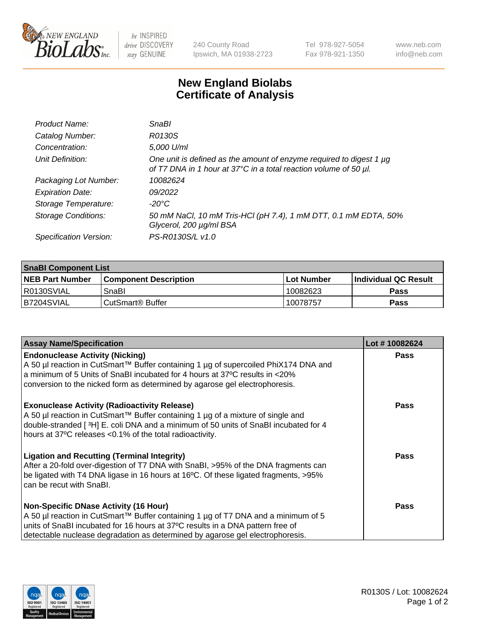

be INSPIRED drive DISCOVERY stay GENUINE

240 County Road Ipswich, MA 01938-2723 Tel 978-927-5054 Fax 978-921-1350 www.neb.com info@neb.com

## **New England Biolabs Certificate of Analysis**

| Product Name:              | SnaBl                                                                                                                                   |
|----------------------------|-----------------------------------------------------------------------------------------------------------------------------------------|
| Catalog Number:            | R0130S                                                                                                                                  |
| Concentration:             | 5,000 U/ml                                                                                                                              |
| Unit Definition:           | One unit is defined as the amount of enzyme required to digest 1 µg<br>of T7 DNA in 1 hour at 37°C in a total reaction volume of 50 µl. |
| Packaging Lot Number:      | 10082624                                                                                                                                |
| <b>Expiration Date:</b>    | 09/2022                                                                                                                                 |
| Storage Temperature:       | $-20^{\circ}$ C                                                                                                                         |
| <b>Storage Conditions:</b> | 50 mM NaCl, 10 mM Tris-HCl (pH 7.4), 1 mM DTT, 0.1 mM EDTA, 50%<br>Glycerol, 200 µg/ml BSA                                              |
| Specification Version:     | PS-R0130S/L v1.0                                                                                                                        |

| <b>SnaBI Component List</b> |                              |              |                       |  |
|-----------------------------|------------------------------|--------------|-----------------------|--|
| <b>NEB Part Number</b>      | <b>Component Description</b> | l Lot Number | ∣Individual QC Result |  |
| I R0130SVIAL                | SnaBl                        | 10082623     | Pass                  |  |
| B7204SVIAL                  | CutSmart <sup>®</sup> Buffer | 10078757     | Pass                  |  |

| <b>Assay Name/Specification</b>                                                                                                                                                                                                                                                                      | Lot #10082624 |
|------------------------------------------------------------------------------------------------------------------------------------------------------------------------------------------------------------------------------------------------------------------------------------------------------|---------------|
| <b>Endonuclease Activity (Nicking)</b><br>A 50 µl reaction in CutSmart™ Buffer containing 1 µg of supercoiled PhiX174 DNA and<br>a minimum of 5 Units of SnaBI incubated for 4 hours at 37°C results in <20%<br>conversion to the nicked form as determined by agarose gel electrophoresis.          | <b>Pass</b>   |
| <b>Exonuclease Activity (Radioactivity Release)</b><br>A 50 µl reaction in CutSmart™ Buffer containing 1 µg of a mixture of single and<br>double-stranded [3H] E. coli DNA and a minimum of 50 units of SnaBI incubated for 4<br>hours at 37°C releases <0.1% of the total radioactivity.            | <b>Pass</b>   |
| <b>Ligation and Recutting (Terminal Integrity)</b><br>After a 20-fold over-digestion of T7 DNA with SnaBI, >95% of the DNA fragments can<br>be ligated with T4 DNA ligase in 16 hours at 16°C. Of these ligated fragments, >95%<br>can be recut with SnaBI.                                          | <b>Pass</b>   |
| <b>Non-Specific DNase Activity (16 Hour)</b><br>A 50 µl reaction in CutSmart™ Buffer containing 1 µg of T7 DNA and a minimum of 5<br>units of SnaBI incubated for 16 hours at 37°C results in a DNA pattern free of<br>detectable nuclease degradation as determined by agarose gel electrophoresis. | Pass          |